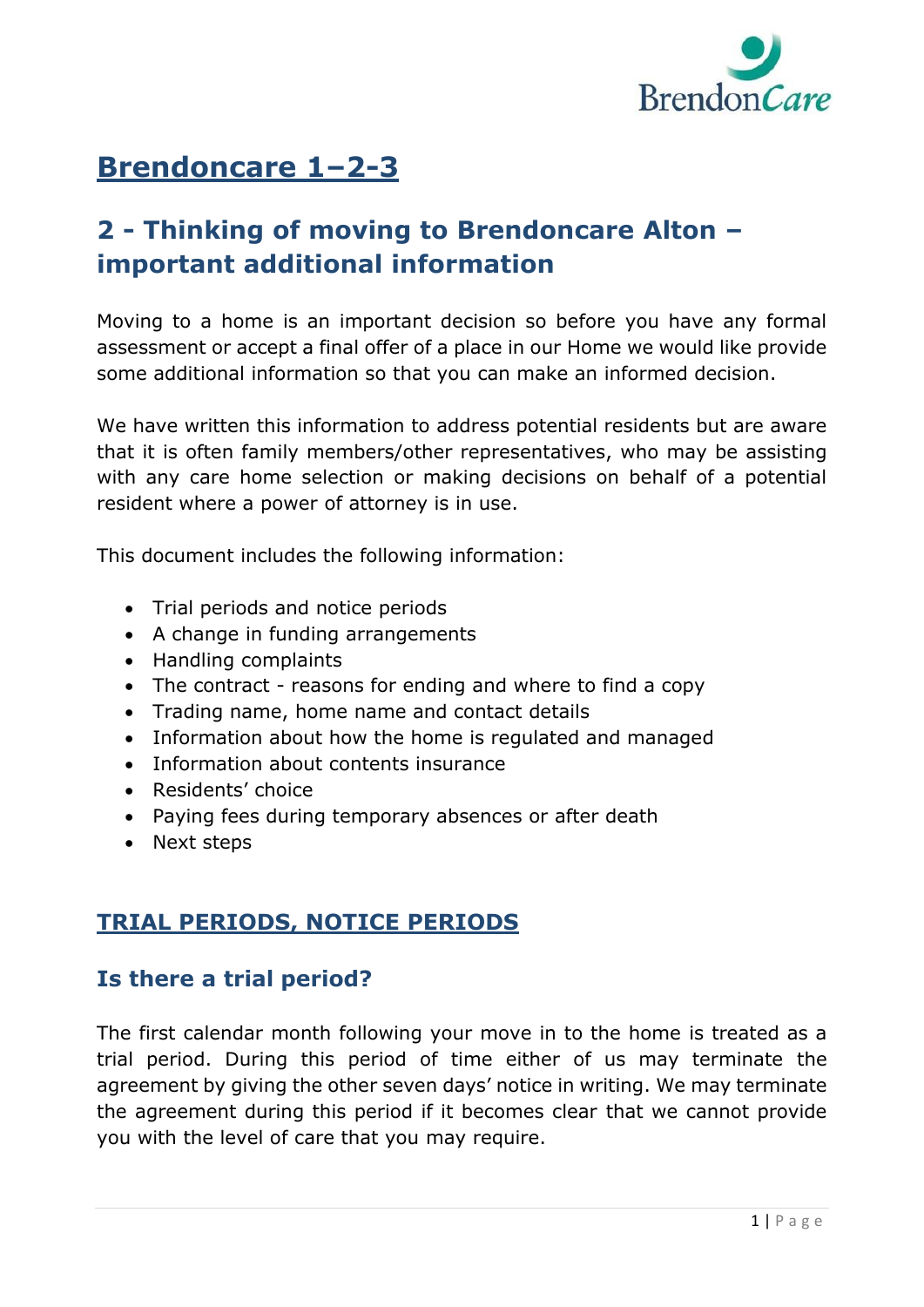

# **Brendoncare 1–2-3**

# **2 - Thinking of moving to Brendoncare Alton – important additional information**

Moving to a home is an important decision so before you have any formal assessment or accept a final offer of a place in our Home we would like provide some additional information so that you can make an informed decision.

We have written this information to address potential residents but are aware that it is often family members/other representatives, who may be assisting with any care home selection or making decisions on behalf of a potential resident where a power of attorney is in use.

This document includes the following information:

- Trial periods and notice periods
- A change in funding arrangements
- Handling complaints
- The contract reasons for ending and where to find a copy
- Trading name, home name and contact details
- Information about how the home is regulated and managed
- Information about contents insurance
- Residents' choice
- Paying fees during temporary absences or after death
- Next steps

#### **TRIAL PERIODS, NOTICE PERIODS**

#### **Is there a trial period?**

The first calendar month following your move in to the home is treated as a trial period. During this period of time either of us may terminate the agreement by giving the other seven days' notice in writing. We may terminate the agreement during this period if it becomes clear that we cannot provide you with the level of care that you may require.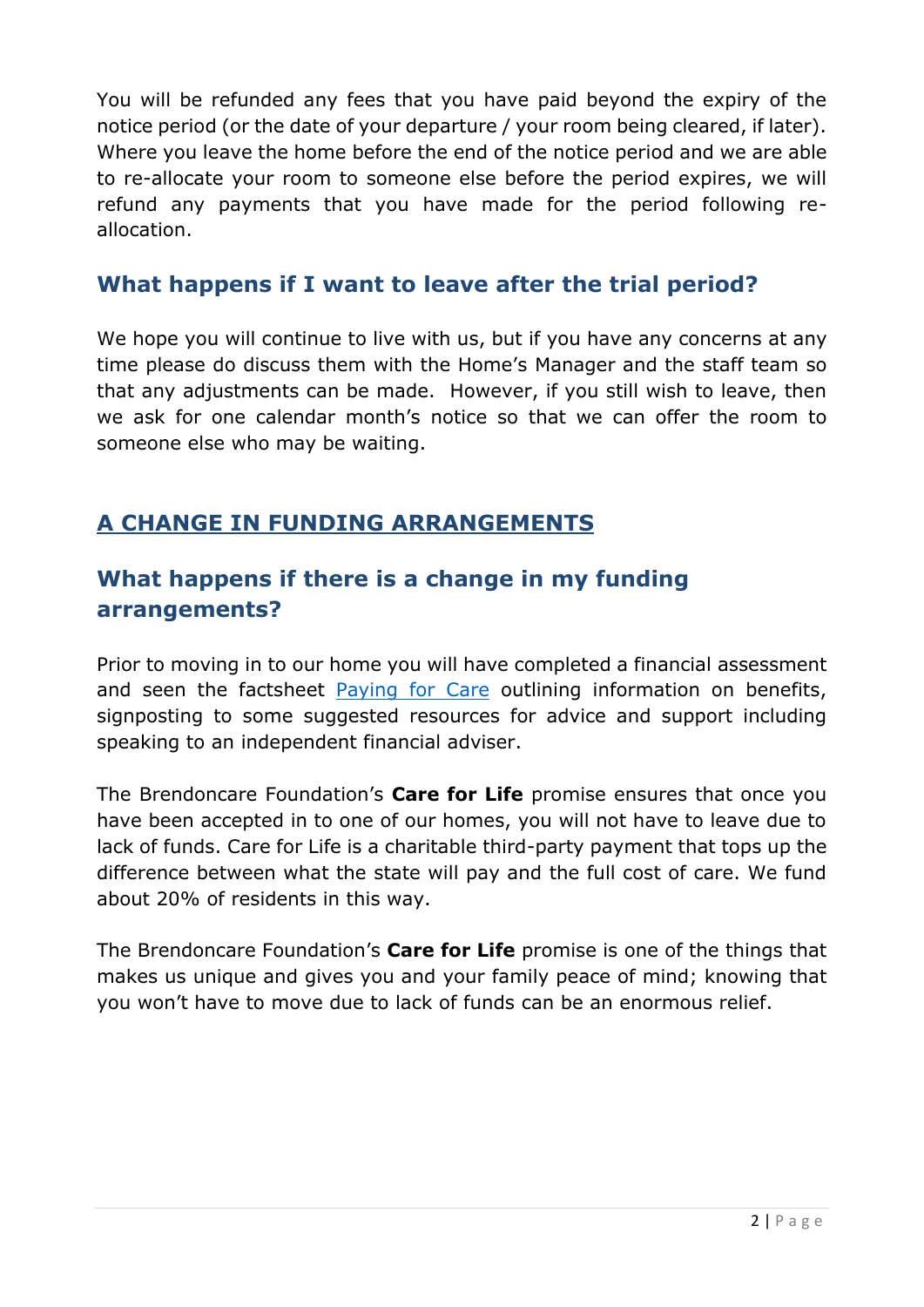You will be refunded any fees that you have paid beyond the expiry of the notice period (or the date of your departure / your room being cleared, if later). Where you leave the home before the end of the notice period and we are able to re-allocate your room to someone else before the period expires, we will refund any payments that you have made for the period following reallocation.

### **What happens if I want to leave after the trial period?**

We hope you will continue to live with us, but if you have any concerns at any time please do discuss them with the Home's Manager and the staff team so that any adjustments can be made. However, if you still wish to leave, then we ask for one calendar month's notice so that we can offer the room to someone else who may be waiting.

# **A CHANGE IN FUNDING ARRANGEMENTS**

# **What happens if there is a change in my funding arrangements?**

Prior to moving in to our home you will have completed a financial assessment and seen the factsheet [Paying for Care](https://www.brendoncare.org.uk/paying-for-care) outlining information on benefits, signposting to some suggested resources for advice and support including speaking to an independent financial adviser.

The Brendoncare Foundation's **Care for Life** promise ensures that once you have been accepted in to one of our homes, you will not have to leave due to lack of funds. Care for Life is a charitable third-party payment that tops up the difference between what the state will pay and the full cost of care. We fund about 20% of residents in this way.

The Brendoncare Foundation's **Care for Life** promise is one of the things that makes us unique and gives you and your family peace of mind; knowing that you won't have to move due to lack of funds can be an enormous relief.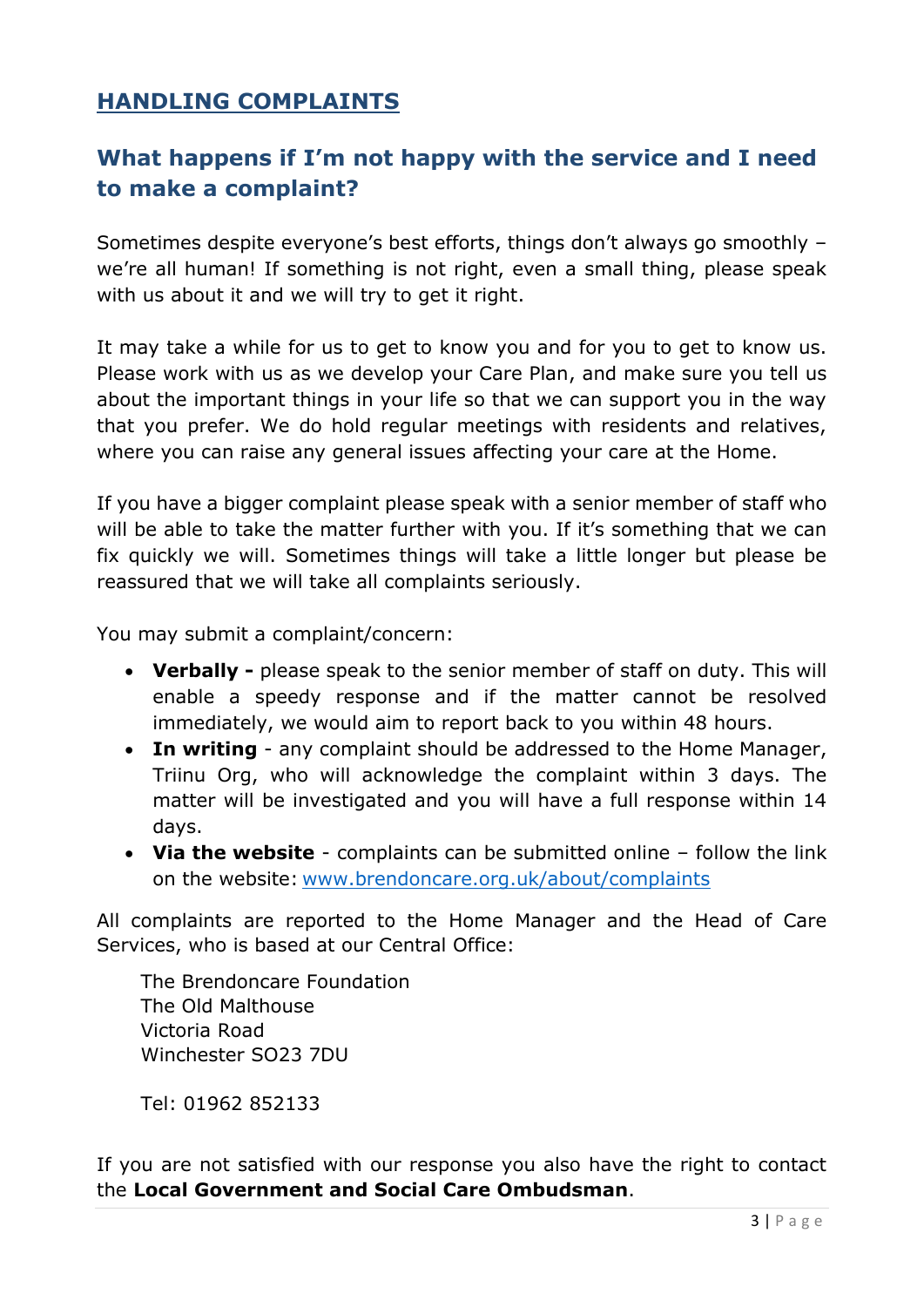# **HANDLING COMPLAINTS**

# **What happens if I'm not happy with the service and I need to make a complaint?**

Sometimes despite everyone's best efforts, things don't always go smoothly – we're all human! If something is not right, even a small thing, please speak with us about it and we will try to get it right.

It may take a while for us to get to know you and for you to get to know us. Please work with us as we develop your Care Plan, and make sure you tell us about the important things in your life so that we can support you in the way that you prefer. We do hold regular meetings with residents and relatives, where you can raise any general issues affecting your care at the Home.

If you have a bigger complaint please speak with a senior member of staff who will be able to take the matter further with you. If it's something that we can fix quickly we will. Sometimes things will take a little longer but please be reassured that we will take all complaints seriously.

You may submit a complaint/concern:

- **Verbally -** please speak to the senior member of staff on duty. This will enable a speedy response and if the matter cannot be resolved immediately, we would aim to report back to you within 48 hours.
- **In writing** any complaint should be addressed to the Home Manager, Triinu Org, who will acknowledge the complaint within 3 days. The matter will be investigated and you will have a full response within 14 days.
- **Via the website** complaints can be submitted online follow the link on the website: [www.brendoncare.org.uk/about/complaints](http://www.brendoncare.org.uk/about/complaints)

All complaints are reported to the Home Manager and the Head of Care Services, who is based at our Central Office:

The Brendoncare Foundation The Old Malthouse Victoria Road Winchester SO23 7DU

Tel: 01962 852133

If you are not satisfied with our response you also have the right to contact the **Local Government and Social Care Ombudsman**.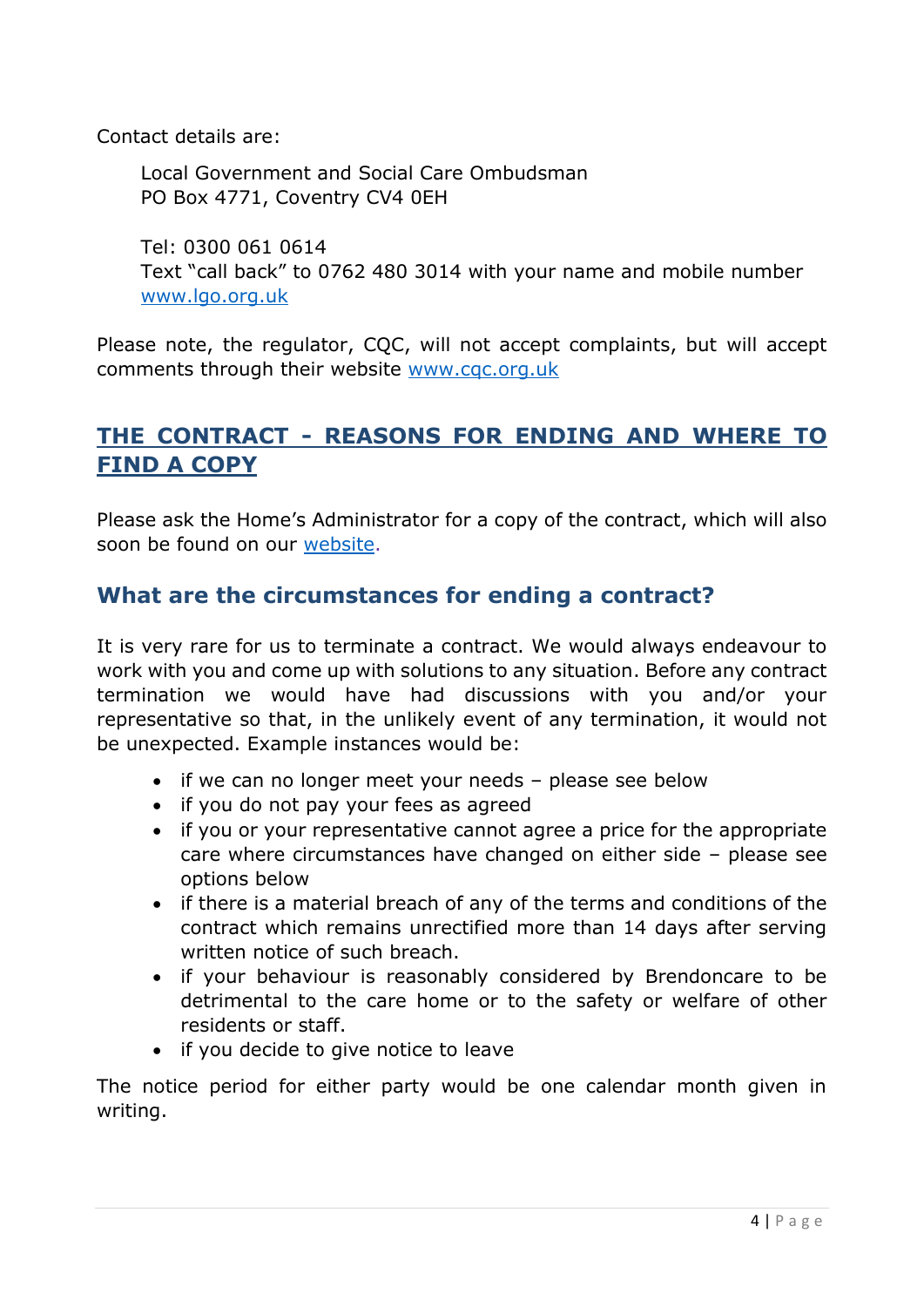Contact details are:

Local Government and Social Care Ombudsman PO Box 4771, Coventry CV4 0EH

Tel: 0300 061 0614 Text "call back" to 0762 480 3014 with your name and mobile number [www.lgo.org.uk](http://www.lgo.org.uk/)

Please note, the regulator, CQC, will not accept complaints, but will accept comments through their website [www.cqc.org.uk](http://www.cqc.org.uk/)

### **THE CONTRACT - REASONS FOR ENDING AND WHERE TO FIND A COPY**

Please ask the Home's Administrator for a copy of the contract, which will also soon be found on our [website.](https://www.brendoncare.org.uk/)

#### **What are the circumstances for ending a contract?**

It is very rare for us to terminate a contract. We would always endeavour to work with you and come up with solutions to any situation. Before any contract termination we would have had discussions with you and/or your representative so that, in the unlikely event of any termination, it would not be unexpected. Example instances would be:

- if we can no longer meet your needs please see below
- if you do not pay your fees as agreed
- if you or your representative cannot agree a price for the appropriate care where circumstances have changed on either side – please see options below
- if there is a material breach of any of the terms and conditions of the contract which remains unrectified more than 14 days after serving written notice of such breach.
- if your behaviour is reasonably considered by Brendoncare to be detrimental to the care home or to the safety or welfare of other residents or staff.
- if you decide to give notice to leave

The notice period for either party would be one calendar month given in writing.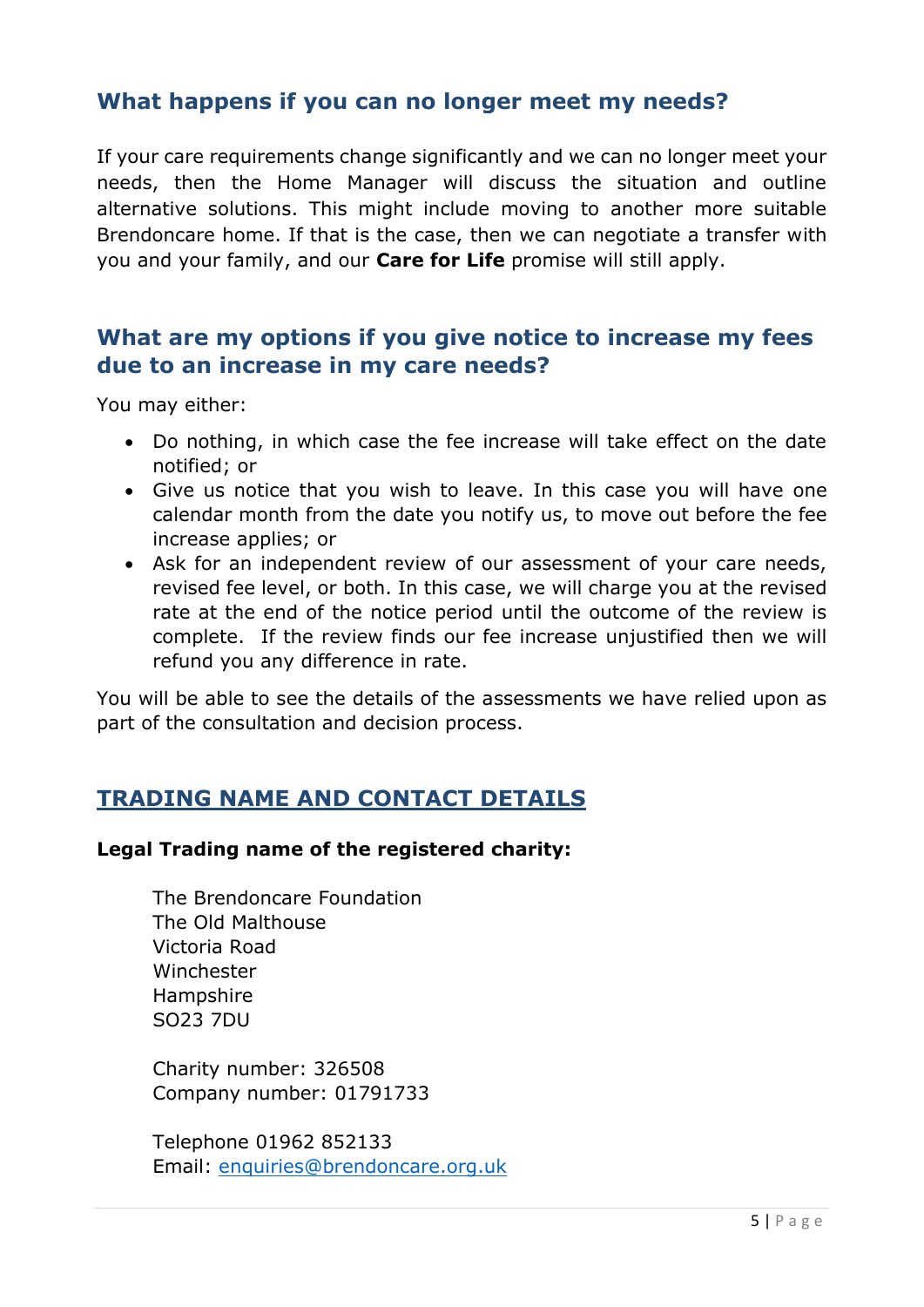#### **What happens if you can no longer meet my needs?**

If your care requirements change significantly and we can no longer meet your needs, then the Home Manager will discuss the situation and outline alternative solutions. This might include moving to another more suitable Brendoncare home. If that is the case, then we can negotiate a transfer with you and your family, and our **Care for Life** promise will still apply.

#### **What are my options if you give notice to increase my fees due to an increase in my care needs?**

You may either:

- Do nothing, in which case the fee increase will take effect on the date notified; or
- Give us notice that you wish to leave. In this case you will have one calendar month from the date you notify us, to move out before the fee increase applies; or
- Ask for an independent review of our assessment of your care needs, revised fee level, or both. In this case, we will charge you at the revised rate at the end of the notice period until the outcome of the review is complete. If the review finds our fee increase unjustified then we will refund you any difference in rate.

You will be able to see the details of the assessments we have relied upon as part of the consultation and decision process.

#### **TRADING NAME AND CONTACT DETAILS**

#### **Legal Trading name of the registered charity:**

The Brendoncare Foundation The Old Malthouse Victoria Road Winchester Hampshire SO23 7DU

Charity number: 326508 Company number: 01791733

Telephone 01962 852133 Email: [enquiries@brendoncare.org.uk](mailto:enquiries@brendoncare.org.uk)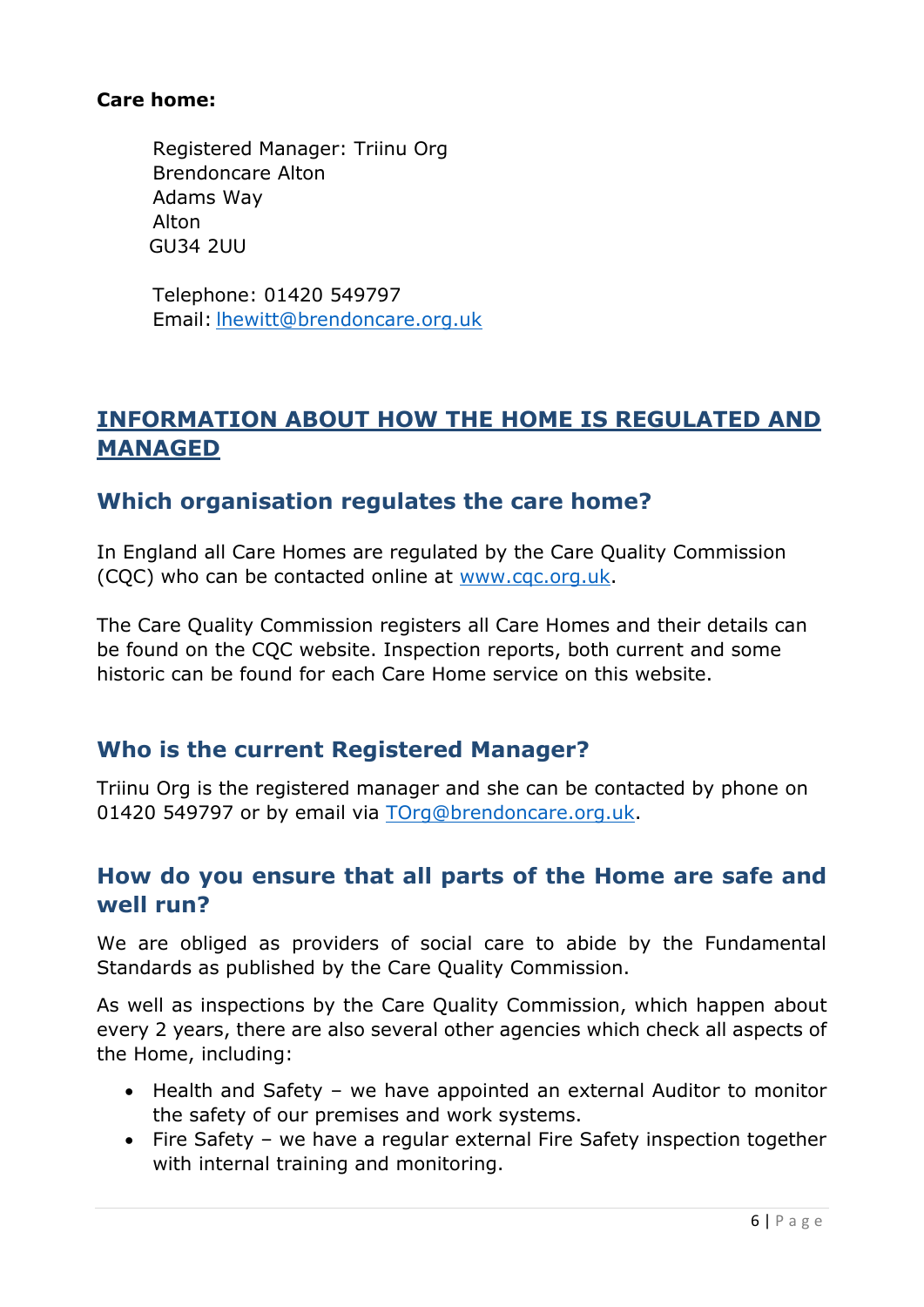#### **Care home:**

Registered Manager: Triinu Org Brendoncare Alton Adams Way Alton GU34 2UU

Telephone: 01420 549797 Email: [lhewitt@brendoncare.org.uk](mailto:lhewitt@brendoncare.org.uk)

# **INFORMATION ABOUT HOW THE HOME IS REGULATED AND MANAGED**

#### **Which organisation regulates the care home?**

In England all Care Homes are regulated by the Care Quality Commission (CQC) who can be contacted online at [www.cqc.org.uk.](http://www.cqc.org.uk/)

The Care Quality Commission registers all Care Homes and their details can be found on the CQC website. Inspection reports, both current and some historic can be found for each Care Home service on this website.

#### **Who is the current Registered Manager?**

Triinu Org is the registered manager and she can be contacted by phone on 01420 549797 or by email via [TOrg@brendoncare.org.uk.](mailto:TOrg@brendoncare.org.uk)

#### **How do you ensure that all parts of the Home are safe and well run?**

We are obliged as providers of social care to abide by the Fundamental Standards as published by the Care Quality Commission.

As well as inspections by the Care Quality Commission, which happen about every 2 years, there are also several other agencies which check all aspects of the Home, including:

- Health and Safety we have appointed an external Auditor to monitor the safety of our premises and work systems.
- Fire Safety we have a regular external Fire Safety inspection together with internal training and monitoring.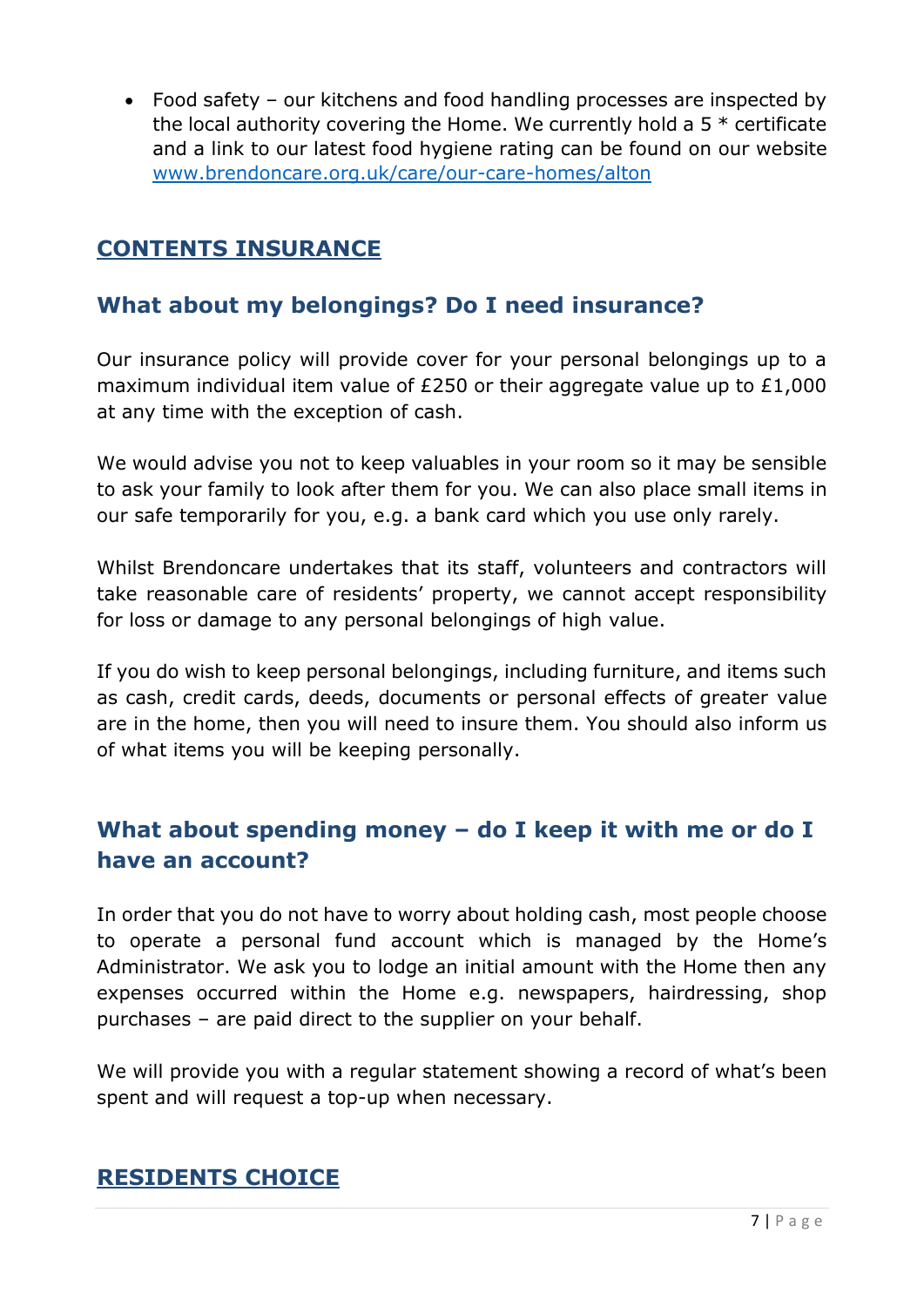Food safety – our kitchens and food handling processes are inspected by the local authority covering the Home. We currently hold a  $5 *$  certificate and a link to our latest food hygiene rating can be found on our website [www.brendoncare.org.uk/care/our-care-homes/alton](http://www.brendoncare.org.uk/care/our-care-homes/alton)

# **CONTENTS INSURANCE**

# **What about my belongings? Do I need insurance?**

Our insurance policy will provide cover for your personal belongings up to a maximum individual item value of £250 or their aggregate value up to £1,000 at any time with the exception of cash.

We would advise you not to keep valuables in your room so it may be sensible to ask your family to look after them for you. We can also place small items in our safe temporarily for you, e.g. a bank card which you use only rarely.

Whilst Brendoncare undertakes that its staff, volunteers and contractors will take reasonable care of residents' property, we cannot accept responsibility for loss or damage to any personal belongings of high value.

If you do wish to keep personal belongings, including furniture, and items such as cash, credit cards, deeds, documents or personal effects of greater value are in the home, then you will need to insure them. You should also inform us of what items you will be keeping personally.

# **What about spending money – do I keep it with me or do I have an account?**

In order that you do not have to worry about holding cash, most people choose to operate a personal fund account which is managed by the Home's Administrator. We ask you to lodge an initial amount with the Home then any expenses occurred within the Home e.g. newspapers, hairdressing, shop purchases – are paid direct to the supplier on your behalf.

We will provide you with a regular statement showing a record of what's been spent and will request a top-up when necessary.

#### **RESIDENTS CHOICE**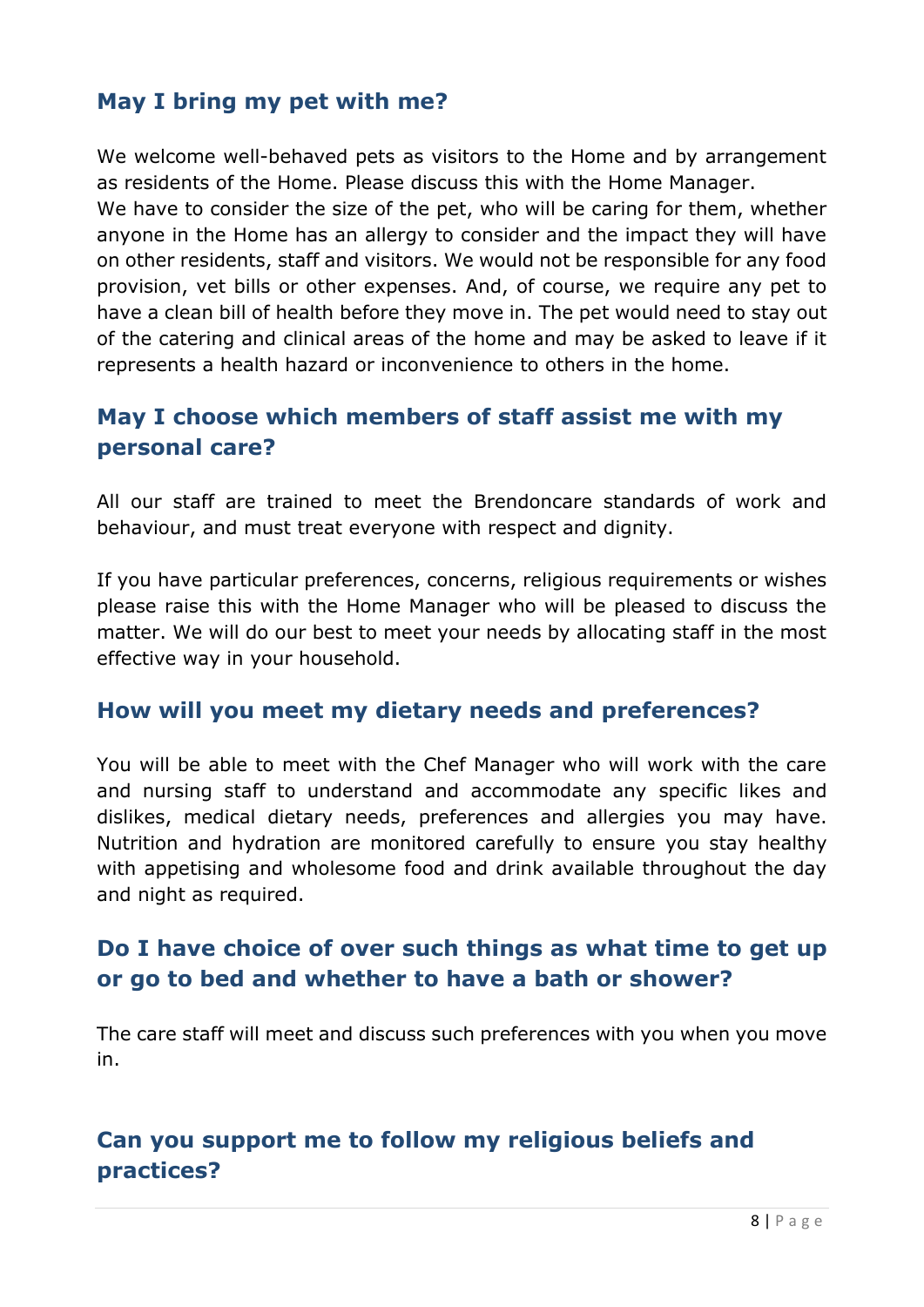# **May I bring my pet with me?**

We welcome well-behaved pets as visitors to the Home and by arrangement as residents of the Home. Please discuss this with the Home Manager.

We have to consider the size of the pet, who will be caring for them, whether anyone in the Home has an allergy to consider and the impact they will have on other residents, staff and visitors. We would not be responsible for any food provision, vet bills or other expenses. And, of course, we require any pet to have a clean bill of health before they move in. The pet would need to stay out of the catering and clinical areas of the home and may be asked to leave if it represents a health hazard or inconvenience to others in the home.

# **May I choose which members of staff assist me with my personal care?**

All our staff are trained to meet the Brendoncare standards of work and behaviour, and must treat everyone with respect and dignity.

If you have particular preferences, concerns, religious requirements or wishes please raise this with the Home Manager who will be pleased to discuss the matter. We will do our best to meet your needs by allocating staff in the most effective way in your household.

#### **How will you meet my dietary needs and preferences?**

You will be able to meet with the Chef Manager who will work with the care and nursing staff to understand and accommodate any specific likes and dislikes, medical dietary needs, preferences and allergies you may have. Nutrition and hydration are monitored carefully to ensure you stay healthy with appetising and wholesome food and drink available throughout the day and night as required.

# **Do I have choice of over such things as what time to get up or go to bed and whether to have a bath or shower?**

The care staff will meet and discuss such preferences with you when you move in.

# **Can you support me to follow my religious beliefs and practices?**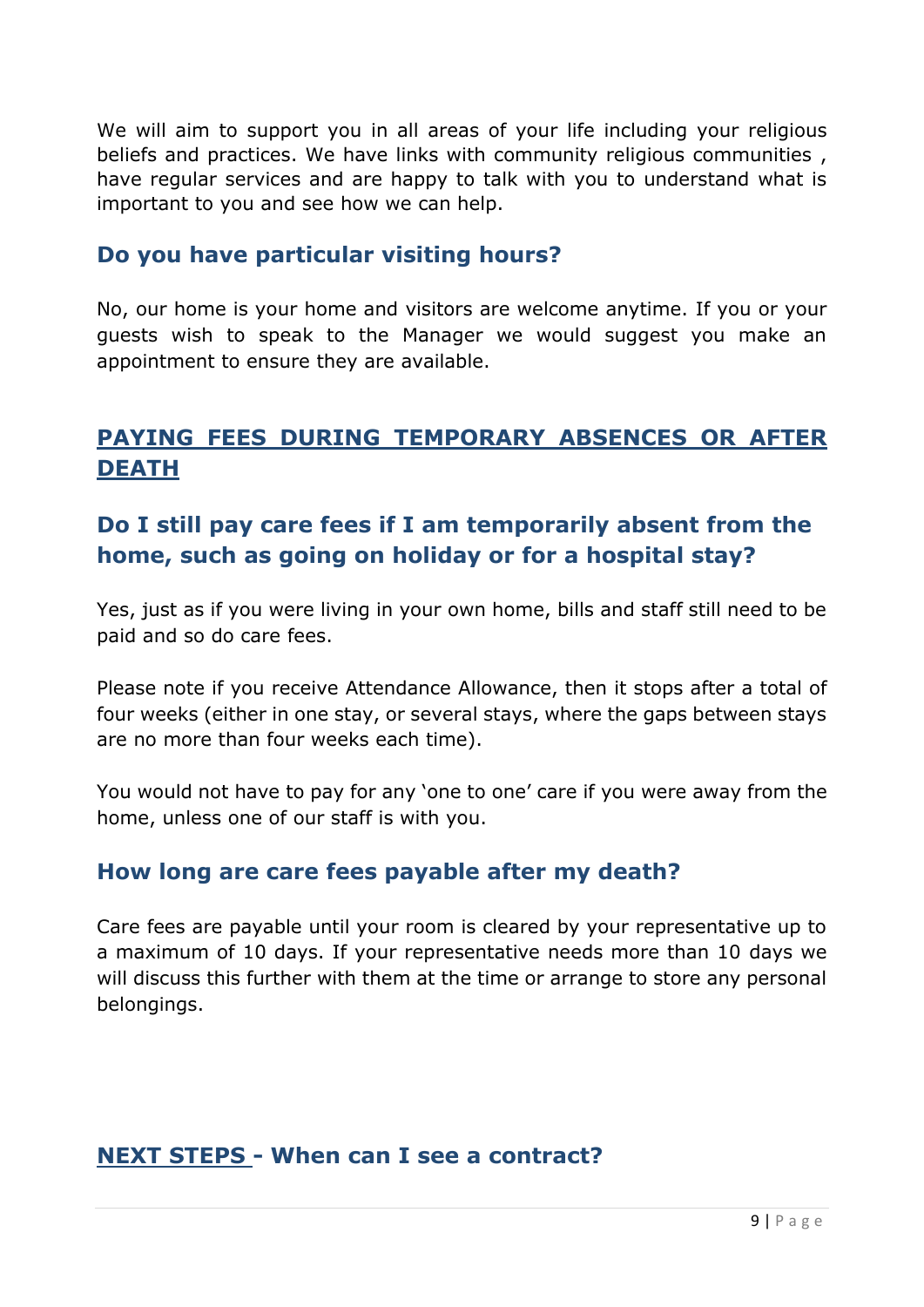We will aim to support you in all areas of your life including your religious beliefs and practices. We have links with community religious communities , have regular services and are happy to talk with you to understand what is important to you and see how we can help.

#### **Do you have particular visiting hours?**

No, our home is your home and visitors are welcome anytime. If you or your guests wish to speak to the Manager we would suggest you make an appointment to ensure they are available.

# **PAYING FEES DURING TEMPORARY ABSENCES OR AFTER DEATH**

# **Do I still pay care fees if I am temporarily absent from the home, such as going on holiday or for a hospital stay?**

Yes, just as if you were living in your own home, bills and staff still need to be paid and so do care fees.

Please note if you receive Attendance Allowance, then it stops after a total of four weeks (either in one stay, or several stays, where the gaps between stays are no more than four weeks each time).

You would not have to pay for any 'one to one' care if you were away from the home, unless one of our staff is with you.

#### **How long are care fees payable after my death?**

Care fees are payable until your room is cleared by your representative up to a maximum of 10 days. If your representative needs more than 10 days we will discuss this further with them at the time or arrange to store any personal belongings.

#### **NEXT STEPS - When can I see a contract?**